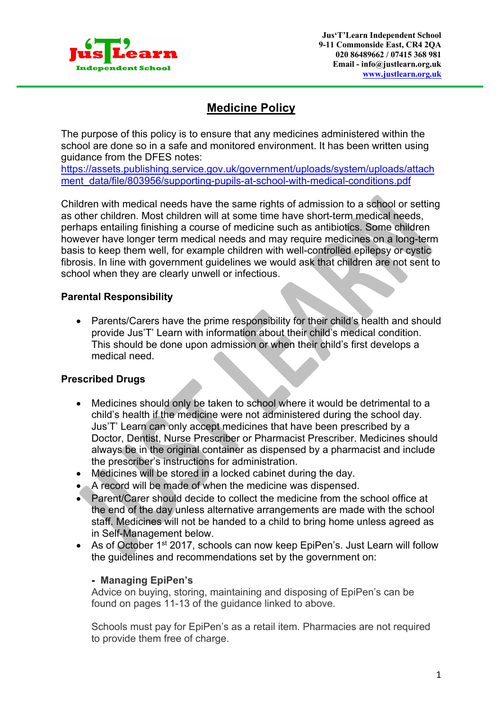

# **Medicine Policy**

The purpose of this policy is to ensure that any medicines administered within the school are done so in a safe and monitored environment. It has been written using guidance from the DFES notes:

https://assets.publishing.service.gov.uk/government/uploads/system/uploads/attach ment\_data/file/803956/supporting-pupils-at-school-with-medical-conditions.pdf

Children with medical needs have the same rights of admission to a school or setting as other children. Most children will at some time have short-term medical needs, perhaps entailing finishing a course of medicine such as antibiotics. Some children however have longer term medical needs and may require medicines on a long-term basis to keep them well, for example children with well-controlled epilepsy or cystic fibrosis. In line with government guidelines we would ask that children are not sent to school when they are clearly unwell or infectious.

# **Parental Responsibility**

• Parents/Carers have the prime responsibility for their child's health and should provide Jus'T' Learn with information about their child's medical condition. This should be done upon admission or when their child's first develops a medical need.

# **Prescribed Drugs**

- Medicines should only be taken to school where it would be detrimental to a child's health if the medicine were not administered during the school day. Jus'T' Learn can only accept medicines that have been prescribed by a Doctor, Dentist, Nurse Prescriber or Pharmacist Prescriber. Medicines should always be in the original container as dispensed by a pharmacist and include the prescriber's instructions for administration.
- Medicines will be stored in a locked cabinet during the day.
- A record will be made of when the medicine was dispensed.
- Parent/Carer should decide to collect the medicine from the school office at the end of the day unless alternative arrangements are made with the school staff. Medicines will not be handed to a child to bring home unless agreed as in Self-Management below.
- As of October 1<sup>st</sup> 2017, schools can now keep EpiPen's. Just Learn will follow the guidelines and recommendations set by the government on:

## **- Managing EpiPen's**

Advice on buying, storing, maintaining and disposing of EpiPen's can be found on pages 11-13 of the guidance linked to above.

Schools must pay for EpiPen's as a retail item. Pharmacies are not required to provide them free of charge.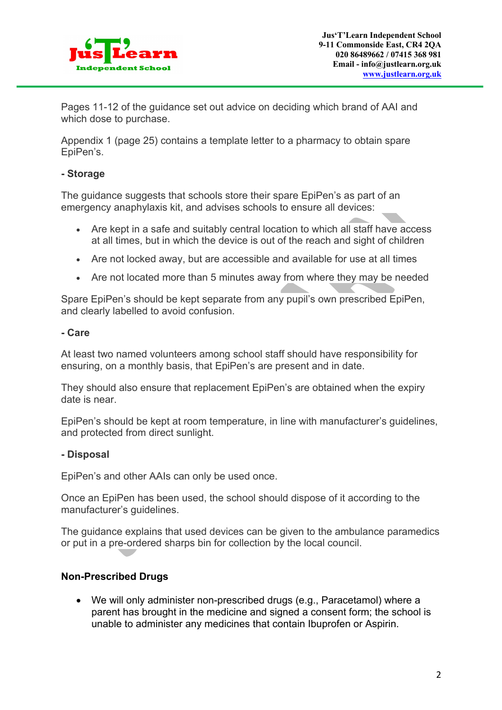

Pages 11-12 of the guidance set out advice on deciding which brand of AAI and which dose to purchase.

Appendix 1 (page 25) contains a template letter to a pharmacy to obtain spare EpiPen's.

# **- Storage**

The guidance suggests that schools store their spare EpiPen's as part of an emergency anaphylaxis kit, and advises schools to ensure all devices:

- Are kept in a safe and suitably central location to which all staff have access at all times, but in which the device is out of the reach and sight of children
- Are not locked away, but are accessible and available for use at all times
- Are not located more than 5 minutes away from where they may be needed

Spare EpiPen's should be kept separate from any pupil's own prescribed EpiPen, and clearly labelled to avoid confusion.

## **- Care**

At least two named volunteers among school staff should have responsibility for ensuring, on a monthly basis, that EpiPen's are present and in date.

They should also ensure that replacement EpiPen's are obtained when the expiry date is near.

EpiPen's should be kept at room temperature, in line with manufacturer's guidelines, and protected from direct sunlight.

## **- Disposal**

EpiPen's and other AAIs can only be used once.

Once an EpiPen has been used, the school should dispose of it according to the manufacturer's guidelines.

The guidance explains that used devices can be given to the ambulance paramedics or put in a pre-ordered sharps bin for collection by the local council.

## **Non-Prescribed Drugs**

• We will only administer non-prescribed drugs (e.g., Paracetamol) where a parent has brought in the medicine and signed a consent form; the school is unable to administer any medicines that contain Ibuprofen or Aspirin.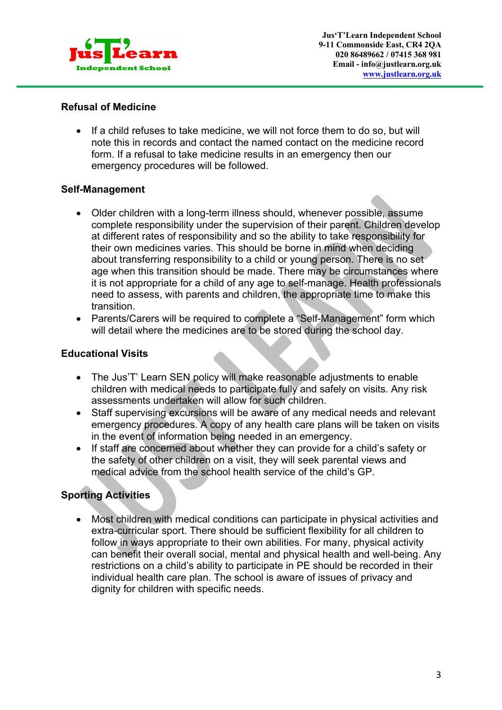

# **Refusal of Medicine**

• If a child refuses to take medicine, we will not force them to do so, but will note this in records and contact the named contact on the medicine record form. If a refusal to take medicine results in an emergency then our emergency procedures will be followed.

# **Self-Management**

- Older children with a long-term illness should, whenever possible, assume complete responsibility under the supervision of their parent. Children develop at different rates of responsibility and so the ability to take responsibility for their own medicines varies. This should be borne in mind when deciding about transferring responsibility to a child or young person. There is no set age when this transition should be made. There may be circumstances where it is not appropriate for a child of any age to self-manage. Health professionals need to assess, with parents and children, the appropriate time to make this transition.
- Parents/Carers will be required to complete a "Self-Management" form which will detail where the medicines are to be stored during the school day.

# **Educational Visits**

- The Jus'T' Learn SEN policy will make reasonable adjustments to enable children with medical needs to participate fully and safely on visits. Any risk assessments undertaken will allow for such children.
- Staff supervising excursions will be aware of any medical needs and relevant emergency procedures. A copy of any health care plans will be taken on visits in the event of information being needed in an emergency.
- If staff are concerned about whether they can provide for a child's safety or the safety of other children on a visit, they will seek parental views and medical advice from the school health service of the child's GP.

# **Sporting Activities**

• Most children with medical conditions can participate in physical activities and extra-curricular sport. There should be sufficient flexibility for all children to follow in ways appropriate to their own abilities. For many, physical activity can benefit their overall social, mental and physical health and well-being. Any restrictions on a child's ability to participate in PE should be recorded in their individual health care plan. The school is aware of issues of privacy and dignity for children with specific needs.